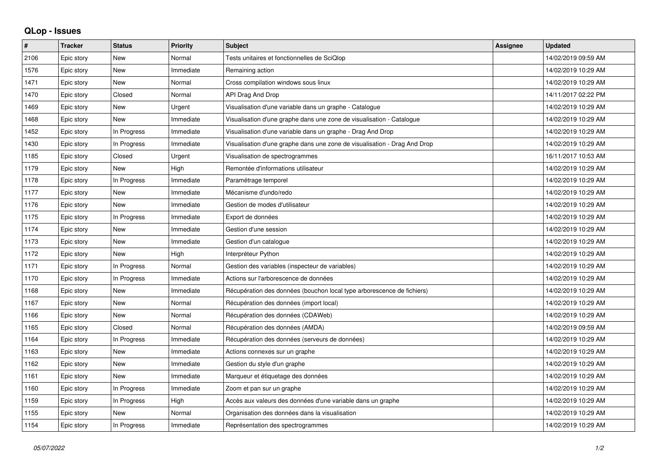## **QLop - Issues**

| #    | <b>Tracker</b> | <b>Status</b> | <b>Priority</b> | <b>Subject</b>                                                            | <b>Assignee</b> | <b>Updated</b>      |
|------|----------------|---------------|-----------------|---------------------------------------------------------------------------|-----------------|---------------------|
| 2106 | Epic story     | <b>New</b>    | Normal          | Tests unitaires et fonctionnelles de SciQlop                              |                 | 14/02/2019 09:59 AM |
| 1576 | Epic story     | <b>New</b>    | Immediate       | Remaining action                                                          |                 | 14/02/2019 10:29 AM |
| 1471 | Epic story     | <b>New</b>    | Normal          | Cross compilation windows sous linux                                      |                 | 14/02/2019 10:29 AM |
| 1470 | Epic story     | Closed        | Normal          | API Drag And Drop                                                         |                 | 14/11/2017 02:22 PM |
| 1469 | Epic story     | <b>New</b>    | Urgent          | Visualisation d'une variable dans un graphe - Catalogue                   |                 | 14/02/2019 10:29 AM |
| 1468 | Epic story     | <b>New</b>    | Immediate       | Visualisation d'une graphe dans une zone de visualisation - Catalogue     |                 | 14/02/2019 10:29 AM |
| 1452 | Epic story     | In Progress   | Immediate       | Visualisation d'une variable dans un graphe - Drag And Drop               |                 | 14/02/2019 10:29 AM |
| 1430 | Epic story     | In Progress   | Immediate       | Visualisation d'une graphe dans une zone de visualisation - Drag And Drop |                 | 14/02/2019 10:29 AM |
| 1185 | Epic story     | Closed        | Urgent          | Visualisation de spectrogrammes                                           |                 | 16/11/2017 10:53 AM |
| 1179 | Epic story     | <b>New</b>    | High            | Remontée d'informations utilisateur                                       |                 | 14/02/2019 10:29 AM |
| 1178 | Epic story     | In Progress   | Immediate       | Paramétrage temporel                                                      |                 | 14/02/2019 10:29 AM |
| 1177 | Epic story     | <b>New</b>    | Immediate       | Mécanisme d'undo/redo                                                     |                 | 14/02/2019 10:29 AM |
| 1176 | Epic story     | <b>New</b>    | Immediate       | Gestion de modes d'utilisateur                                            |                 | 14/02/2019 10:29 AM |
| 1175 | Epic story     | In Progress   | Immediate       | Export de données                                                         |                 | 14/02/2019 10:29 AM |
| 1174 | Epic story     | <b>New</b>    | Immediate       | Gestion d'une session                                                     |                 | 14/02/2019 10:29 AM |
| 1173 | Epic story     | <b>New</b>    | Immediate       | Gestion d'un catalogue                                                    |                 | 14/02/2019 10:29 AM |
| 1172 | Epic story     | <b>New</b>    | High            | Interpréteur Python                                                       |                 | 14/02/2019 10:29 AM |
| 1171 | Epic story     | In Progress   | Normal          | Gestion des variables (inspecteur de variables)                           |                 | 14/02/2019 10:29 AM |
| 1170 | Epic story     | In Progress   | Immediate       | Actions sur l'arborescence de données                                     |                 | 14/02/2019 10:29 AM |
| 1168 | Epic story     | <b>New</b>    | Immediate       | Récupération des données (bouchon local type arborescence de fichiers)    |                 | 14/02/2019 10:29 AM |
| 1167 | Epic story     | <b>New</b>    | Normal          | Récupération des données (import local)                                   |                 | 14/02/2019 10:29 AM |
| 1166 | Epic story     | <b>New</b>    | Normal          | Récupération des données (CDAWeb)                                         |                 | 14/02/2019 10:29 AM |
| 1165 | Epic story     | Closed        | Normal          | Récupération des données (AMDA)                                           |                 | 14/02/2019 09:59 AM |
| 1164 | Epic story     | In Progress   | Immediate       | Récupération des données (serveurs de données)                            |                 | 14/02/2019 10:29 AM |
| 1163 | Epic story     | <b>New</b>    | Immediate       | Actions connexes sur un graphe                                            |                 | 14/02/2019 10:29 AM |
| 1162 | Epic story     | <b>New</b>    | Immediate       | Gestion du style d'un graphe                                              |                 | 14/02/2019 10:29 AM |
| 1161 | Epic story     | <b>New</b>    | Immediate       | Marqueur et étiquetage des données                                        |                 | 14/02/2019 10:29 AM |
| 1160 | Epic story     | In Progress   | Immediate       | Zoom et pan sur un graphe                                                 |                 | 14/02/2019 10:29 AM |
| 1159 | Epic story     | In Progress   | High            | Accès aux valeurs des données d'une variable dans un graphe               |                 | 14/02/2019 10:29 AM |
| 1155 | Epic story     | <b>New</b>    | Normal          | Organisation des données dans la visualisation                            |                 | 14/02/2019 10:29 AM |
| 1154 | Epic story     | In Progress   | Immediate       | Représentation des spectrogrammes                                         |                 | 14/02/2019 10:29 AM |